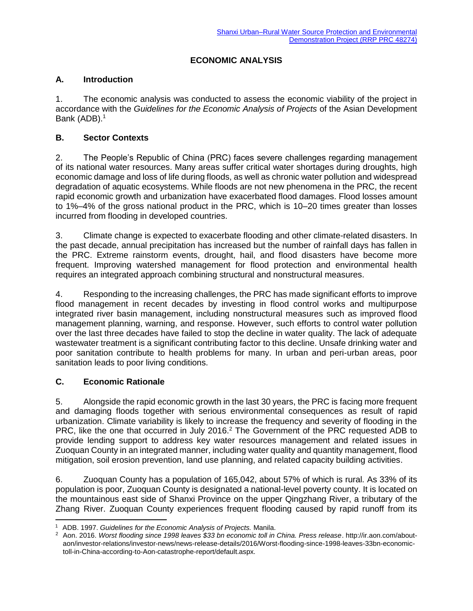## **ECONOMIC ANALYSIS**

### **A. Introduction**

1. The economic analysis was conducted to assess the economic viability of the project in accordance with the *Guidelines for the Economic Analysis of Projects* of the Asian Development Bank (ADB).<sup>1</sup>

## **B. Sector Contexts**

2. The People's Republic of China (PRC) faces severe challenges regarding management of its national water resources. Many areas suffer critical water shortages during droughts, high economic damage and loss of life during floods, as well as chronic water pollution and widespread degradation of aquatic ecosystems. While floods are not new phenomena in the PRC, the recent rapid economic growth and urbanization have exacerbated flood damages. Flood losses amount to 1%–4% of the gross national product in the PRC, which is 10–20 times greater than losses incurred from flooding in developed countries.

3. Climate change is expected to exacerbate flooding and other climate-related disasters. In the past decade, annual precipitation has increased but the number of rainfall days has fallen in the PRC. Extreme rainstorm events, drought, hail, and flood disasters have become more frequent. Improving watershed management for flood protection and environmental health requires an integrated approach combining structural and nonstructural measures.

4. Responding to the increasing challenges, the PRC has made significant efforts to improve flood management in recent decades by investing in flood control works and multipurpose integrated river basin management, including nonstructural measures such as improved flood management planning, warning, and response. However, such efforts to control water pollution over the last three decades have failed to stop the decline in water quality. The lack of adequate wastewater treatment is a significant contributing factor to this decline. Unsafe drinking water and poor sanitation contribute to health problems for many. In urban and peri-urban areas, poor sanitation leads to poor living conditions.

# **C. Economic Rationale**

5. Alongside the rapid economic growth in the last 30 years, the PRC is facing more frequent and damaging floods together with serious environmental consequences as result of rapid urbanization. Climate variability is likely to increase the frequency and severity of flooding in the PRC, like the one that occurred in July 2016.<sup>2</sup> The Government of the PRC requested ADB to provide lending support to address key water resources management and related issues in Zuoquan County in an integrated manner, including water quality and quantity management, flood mitigation, soil erosion prevention, land use planning, and related capacity building activities.

6. Zuoquan County has a population of 165,042, about 57% of which is rural. As 33% of its population is poor, Zuoquan County is designated a national-level poverty county. It is located on the mountainous east side of Shanxi Province on the upper Qingzhang River, a tributary of the Zhang River. Zuoquan County experiences frequent flooding caused by rapid runoff from its

 $\overline{a}$ <sup>1</sup> ADB. 1997. *Guidelines for the Economic Analysis of Projects.* Manila.

<sup>2</sup> Aon. 2016. *Worst flooding since 1998 leaves \$33 bn economic toll in China. Press release*. http://ir.aon.com/aboutaon/investor-relations/investor-news/news-release-details/2016/Worst-flooding-since-1998-leaves-33bn-economictoll-in-China-according-to-Aon-catastrophe-report/default.aspx.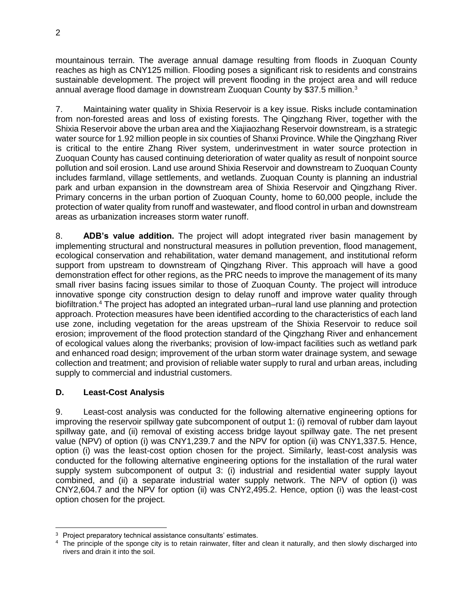mountainous terrain. The average annual damage resulting from floods in Zuoquan County reaches as high as CNY125 million. Flooding poses a significant risk to residents and constrains sustainable development. The project will prevent flooding in the project area and will reduce annual average flood damage in downstream Zuoquan County by \$37.5 million.<sup>3</sup>

7. Maintaining water quality in Shixia Reservoir is a key issue. Risks include contamination from non-forested areas and loss of existing forests. The Qingzhang River, together with the Shixia Reservoir above the urban area and the Xiajiaozhang Reservoir downstream, is a strategic water source for 1.92 million people in six counties of Shanxi Province. While the Qingzhang River is critical to the entire Zhang River system, underinvestment in water source protection in Zuoquan County has caused continuing deterioration of water quality as result of nonpoint source pollution and soil erosion. Land use around Shixia Reservoir and downstream to Zuoquan County includes farmland, village settlements, and wetlands. Zuoquan County is planning an industrial park and urban expansion in the downstream area of Shixia Reservoir and Qingzhang River. Primary concerns in the urban portion of Zuoquan County, home to 60,000 people, include the protection of water quality from runoff and wastewater, and flood control in urban and downstream areas as urbanization increases storm water runoff.

8. **ADB's value addition.** The project will adopt integrated river basin management by implementing structural and nonstructural measures in pollution prevention, flood management, ecological conservation and rehabilitation, water demand management, and institutional reform support from upstream to downstream of Qingzhang River. This approach will have a good demonstration effect for other regions, as the PRC needs to improve the management of its many small river basins facing issues similar to those of Zuoquan County. The project will introduce innovative sponge city construction design to delay runoff and improve water quality through biofiltration.<sup>4</sup> The project has adopted an integrated urban–rural land use planning and protection approach. Protection measures have been identified according to the characteristics of each land use zone, including vegetation for the areas upstream of the Shixia Reservoir to reduce soil erosion; improvement of the flood protection standard of the Qingzhang River and enhancement of ecological values along the riverbanks; provision of low-impact facilities such as wetland park and enhanced road design; improvement of the urban storm water drainage system, and sewage collection and treatment; and provision of reliable water supply to rural and urban areas, including supply to commercial and industrial customers.

# **D. Least-Cost Analysis**

9. Least-cost analysis was conducted for the following alternative engineering options for improving the reservoir spillway gate subcomponent of output 1: (i) removal of rubber dam layout spillway gate, and (ii) removal of existing access bridge layout spillway gate. The net present value (NPV) of option (i) was CNY1,239.7 and the NPV for option (ii) was CNY1,337.5. Hence, option (i) was the least-cost option chosen for the project. Similarly, least-cost analysis was conducted for the following alternative engineering options for the installation of the rural water supply system subcomponent of output 3: (i) industrial and residential water supply layout combined, and (ii) a separate industrial water supply network. The NPV of option (i) was CNY2,604.7 and the NPV for option (ii) was CNY2,495.2. Hence, option (i) was the least-cost option chosen for the project.

Project preparatory technical assistance consultants' estimates.

<sup>&</sup>lt;sup>4</sup> The principle of the sponge city is to retain rainwater, filter and clean it naturally, and then slowly discharged into rivers and drain it into the soil.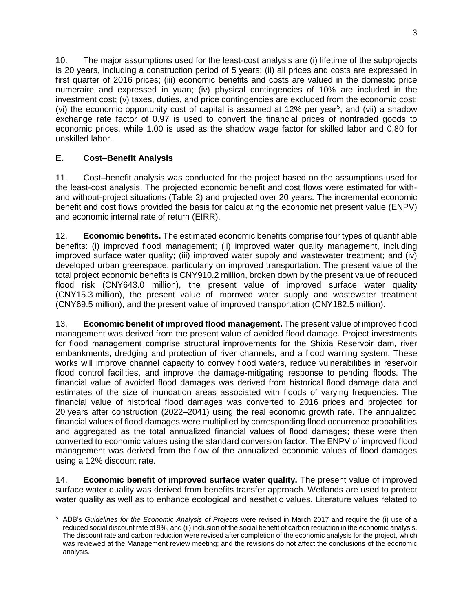10. The major assumptions used for the least-cost analysis are (i) lifetime of the subprojects is 20 years, including a construction period of 5 years; (ii) all prices and costs are expressed in first quarter of 2016 prices; (iii) economic benefits and costs are valued in the domestic price numeraire and expressed in yuan; (iv) physical contingencies of 10% are included in the investment cost; (v) taxes, duties, and price contingencies are excluded from the economic cost; (vi) the economic opportunity cost of capital is assumed at  $12\%$  per year<sup>5</sup>; and (vii) a shadow exchange rate factor of 0.97 is used to convert the financial prices of nontraded goods to economic prices, while 1.00 is used as the shadow wage factor for skilled labor and 0.80 for unskilled labor.

# **E. Cost–Benefit Analysis**

11. Cost–benefit analysis was conducted for the project based on the assumptions used for the least-cost analysis. The projected economic benefit and cost flows were estimated for withand without-project situations (Table 2) and projected over 20 years. The incremental economic benefit and cost flows provided the basis for calculating the economic net present value (ENPV) and economic internal rate of return (EIRR).

12. **Economic benefits.** The estimated economic benefits comprise four types of quantifiable benefits: (i) improved flood management; (ii) improved water quality management, including improved surface water quality; (iii) improved water supply and wastewater treatment; and (iv) developed urban greenspace, particularly on improved transportation. The present value of the total project economic benefits is CNY910.2 million, broken down by the present value of reduced flood risk (CNY643.0 million), the present value of improved surface water quality (CNY15.3 million), the present value of improved water supply and wastewater treatment (CNY69.5 million), and the present value of improved transportation (CNY182.5 million).

13. **Economic benefit of improved flood management.** The present value of improved flood management was derived from the present value of avoided flood damage. Project investments for flood management comprise structural improvements for the Shixia Reservoir dam, river embankments, dredging and protection of river channels, and a flood warning system. These works will improve channel capacity to convey flood waters, reduce vulnerabilities in reservoir flood control facilities, and improve the damage-mitigating response to pending floods. The financial value of avoided flood damages was derived from historical flood damage data and estimates of the size of inundation areas associated with floods of varying frequencies. The financial value of historical flood damages was converted to 2016 prices and projected for 20 years after construction (2022–2041) using the real economic growth rate. The annualized financial values of flood damages were multiplied by corresponding flood occurrence probabilities and aggregated as the total annualized financial values of flood damages; these were then converted to economic values using the standard conversion factor. The ENPV of improved flood management was derived from the flow of the annualized economic values of flood damages using a 12% discount rate.

14. **Economic benefit of improved surface water quality.** The present value of improved surface water quality was derived from benefits transfer approach. Wetlands are used to protect water quality as well as to enhance ecological and aesthetic values. Literature values related to

 $\overline{a}$ <sup>5</sup> ADB's *Guidelines for the Economic Analysis of Projects* were revised in March 2017 and require the (i) use of a reduced social discount rate of 9%, and (ii) inclusion of the social benefit of carbon reduction in the economic analysis. The discount rate and carbon reduction were revised after completion of the economic analysis for the project, which was reviewed at the Management review meeting; and the revisions do not affect the conclusions of the economic analysis.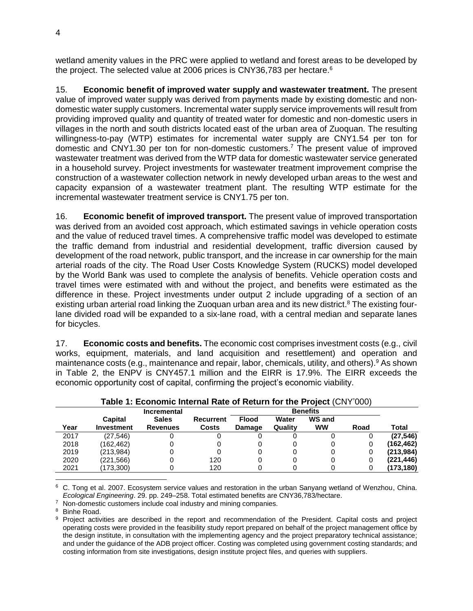wetland amenity values in the PRC were applied to wetland and forest areas to be developed by the project. The selected value at 2006 prices is CNY36,783 per hectare. $^6$ 

15. **Economic benefit of improved water supply and wastewater treatment.** The present value of improved water supply was derived from payments made by existing domestic and nondomestic water supply customers. Incremental water supply service improvements will result from providing improved quality and quantity of treated water for domestic and non-domestic users in villages in the north and south districts located east of the urban area of Zuoquan. The resulting willingness-to-pay (WTP) estimates for incremental water supply are CNY1.54 per ton for domestic and CNY1.30 per ton for non-domestic customers.<sup>7</sup> The present value of improved wastewater treatment was derived from the WTP data for domestic wastewater service generated in a household survey. Project investments for wastewater treatment improvement comprise the construction of a wastewater collection network in newly developed urban areas to the west and capacity expansion of a wastewater treatment plant. The resulting WTP estimate for the incremental wastewater treatment service is CNY1.75 per ton.

16. **Economic benefit of improved transport.** The present value of improved transportation was derived from an avoided cost approach, which estimated savings in vehicle operation costs and the value of reduced travel times. A comprehensive traffic model was developed to estimate the traffic demand from industrial and residential development, traffic diversion caused by development of the road network, public transport, and the increase in car ownership for the main arterial roads of the city. The Road User Costs Knowledge System (RUCKS) model developed by the World Bank was used to complete the analysis of benefits. Vehicle operation costs and travel times were estimated with and without the project, and benefits were estimated as the difference in these. Project investments under output 2 include upgrading of a section of an existing urban arterial road linking the Zuoquan urban area and its new district.<sup>8</sup> The existing fourlane divided road will be expanded to a six-lane road, with a central median and separate lanes for bicycles.

17. **Economic costs and benefits.** The economic cost comprises investment costs (e.g., civil works, equipment, materials, and land acquisition and resettlement) and operation and maintenance costs (e.g., maintenance and repair, labor, chemicals, utility, and others).<sup>9</sup> As shown in Table 2, the ENPV is CNY457.1 million and the EIRR is 17.9%. The EIRR exceeds the economic opportunity cost of capital, confirming the project's economic viability.

| $\overline{\phantom{a}}$ able 1. Economic internal Rate of Return for the Project (CNT 000) |                    |                 |              |                 |         |           |      |            |
|---------------------------------------------------------------------------------------------|--------------------|-----------------|--------------|-----------------|---------|-----------|------|------------|
|                                                                                             | <b>Incremental</b> |                 |              | <b>Benefits</b> |         |           |      |            |
|                                                                                             | Capital            | <b>Sales</b>    | Recurrent    | <b>Flood</b>    | Water   | WS and    |      |            |
| Year                                                                                        | <b>Investment</b>  | <b>Revenues</b> | <b>Costs</b> | Damage          | Quality | <b>WW</b> | Road | Total      |
| 2017                                                                                        | (27, 546)          |                 |              |                 |         |           |      | (27, 546)  |
| 2018                                                                                        | (162.462)          |                 |              |                 |         |           |      | (162, 462) |
| 2019                                                                                        | (213,984)          |                 |              | 0               |         |           |      | (213, 984) |
| 2020                                                                                        | (221.566)          |                 | 120          |                 |         |           |      | (221, 446) |
| 2021                                                                                        | (173, 300)         |                 | 120          |                 |         |           |      | (173, 180) |

**Table 1: Economic Internal Rate of Return for the Project** (CNY'000)

 <sup>6</sup> C. Tong et al. 2007. Ecosystem service values and restoration in the urban Sanyang wetland of Wenzhou, China. *Ecological Engineering*. 29. pp. 249–258. Total estimated benefits are CNY36,783/hectare.

<sup>7</sup> Non-domestic customers include coal industry and mining companies.

<sup>8</sup> Binhe Road.

<sup>9</sup> Project activities are described in the report and recommendation of the President. Capital costs and project operating costs were provided in the feasibility study report prepared on behalf of the project management office by the design institute, in consultation with the implementing agency and the project preparatory technical assistance; and under the guidance of the ADB project officer. Costing was completed using government costing standards; and costing information from site investigations, design institute project files, and queries with suppliers.